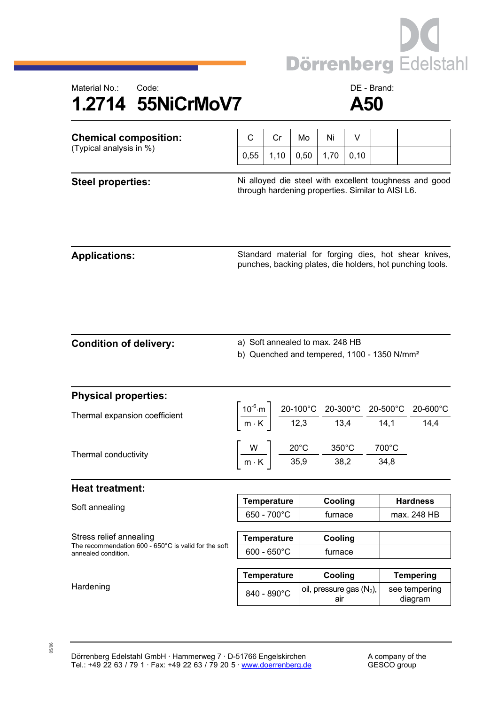

## Material No.: Code: Code: Code: Code: Code: DE - Brand: **1.2714 55NiCrMoV7 A50**

| <b>Chemical composition:</b><br>(Typical analysis in %)                                                          | C                                                                                                                                                                                                                                                    | Cr   | Mo   | Ni                                                                                                                   | V    |  |                                |                                                       |
|------------------------------------------------------------------------------------------------------------------|------------------------------------------------------------------------------------------------------------------------------------------------------------------------------------------------------------------------------------------------------|------|------|----------------------------------------------------------------------------------------------------------------------|------|--|--------------------------------|-------------------------------------------------------|
|                                                                                                                  | 0,55                                                                                                                                                                                                                                                 | 1,10 | 0,50 | 1,70                                                                                                                 | 0,10 |  |                                |                                                       |
| <b>Steel properties:</b>                                                                                         | Ni alloyed die steel with excellent toughness and good<br>through hardening properties. Similar to AISI L6.                                                                                                                                          |      |      |                                                                                                                      |      |  |                                |                                                       |
| <b>Applications:</b>                                                                                             |                                                                                                                                                                                                                                                      |      |      | punches, backing plates, die holders, hot punching tools.                                                            |      |  |                                | Standard material for forging dies, hot shear knives, |
| <b>Condition of delivery:</b>                                                                                    | a) Soft annealed to max. 248 HB<br>b) Quenched and tempered, 1100 - 1350 N/mm <sup>2</sup>                                                                                                                                                           |      |      |                                                                                                                      |      |  |                                |                                                       |
| <b>Physical properties:</b>                                                                                      |                                                                                                                                                                                                                                                      |      |      |                                                                                                                      |      |  |                                |                                                       |
| Thermal expansion coefficient                                                                                    | $\left[\frac{10^{-6} \text{ m}}{\text{m} \cdot \text{K}}\right] \frac{\text{20-100}^{\circ}\text{C}}{12,3} \frac{\text{20-300}^{\circ}\text{C}}{13,4} \frac{\text{20-500}^{\circ}\text{C}}{14,1} \frac{\text{20-600}^{\circ}\text{C}}{14,4} \right]$ |      |      |                                                                                                                      |      |  |                                |                                                       |
| Thermal conductivity                                                                                             |                                                                                                                                                                                                                                                      |      |      | $\left[\frac{W}{m\cdot K}\right]$ $\frac{20^{\circ}C}{35,9}$ $\frac{350^{\circ}C}{38,2}$ $\frac{700^{\circ}C}{34,8}$ |      |  |                                |                                                       |
| <b>Heat treatment:</b>                                                                                           |                                                                                                                                                                                                                                                      |      |      |                                                                                                                      |      |  |                                |                                                       |
| Soft annealing                                                                                                   | Temperature<br>650 - 700°C                                                                                                                                                                                                                           |      |      | Cooling<br>furnace                                                                                                   |      |  | <b>Hardness</b><br>max. 248 HB |                                                       |
| Stress relief annealing<br>The recommendation 600 - $650^{\circ}$ C is valid for the soft<br>annealed condition. | <b>Temperature</b><br>$600 - 650^{\circ}$ C                                                                                                                                                                                                          |      |      | Cooling<br>furnace                                                                                                   |      |  |                                |                                                       |
|                                                                                                                  | <b>Temperature</b>                                                                                                                                                                                                                                   |      |      | Cooling                                                                                                              |      |  | <b>Tempering</b>               |                                                       |
| Hardening                                                                                                        | 840 - 890°C                                                                                                                                                                                                                                          |      |      | oil, pressure gas $(N_2)$ ,<br>air                                                                                   |      |  | see tempering<br>diagram       |                                                       |

05/06